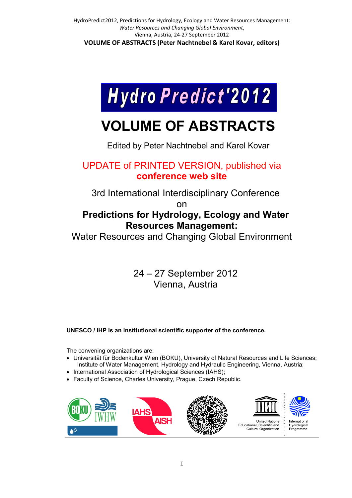

# **VOLUME OF ABSTRACTS**

Edited by Peter Nachtnebel and Karel Kovar

## UPDATE of PRINTED VERSION, published via **conference web site**

3rd International Interdisciplinary Conference

on

## **Predictions for Hydrology, Ecology and Water Resources Management:**

Water Resources and Changing Global Environment

 24 – 27 September 2012 Vienna, Austria

**UNESCO / IHP is an institutional scientific supporter of the conference.**

The convening organizations are:

- Universität für Bodenkultur Wien (BOKU), University of Natural Resources and Life Sciences; Institute of Water Management, Hydrology and Hydraulic Engineering, Vienna, Austria;
- International Association of Hydrological Sciences (IAHS);
- Faculty of Science, Charles University, Prague, Czech Republic.

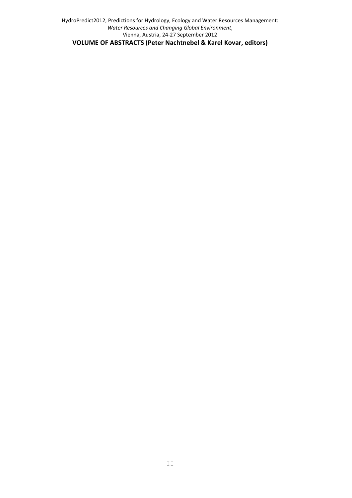HydroPredict2012, Predictions for Hydrology, Ecology and Water Resources Management: *Water Resources and Changing Global Environment*, Vienna, Austria, 24-27 September 2012 **VOLUME OF ABSTRACTS (Peter Nachtnebel & Karel Kovar, editors)**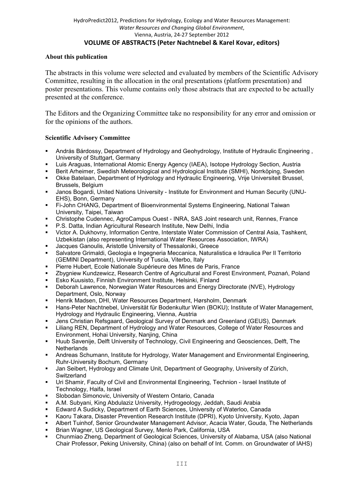#### **About this publication**

The abstracts in this volume were selected and evaluated by members of the Scientific Advisory Committee, resulting in the allocation in the oral presentations (platform presentation) and poster presentations. This volume contains only those abstracts that are expected to be actually presented at the conference.

The Editors and the Organizing Committee take no responsibility for any error and omission or for the opinions of the authors.

#### **Scientific Advisory Committee**

- András Bárdossy, Department of Hydrology and Geohydrology, Institute of Hydraulic Engineering , University of Stuttgart, Germany
- Luis Araguas, International Atomic Energy Agency (IAEA), Isotope Hydrology Section, Austria
- Berit Arheimer, Swedish Meteorological and Hydrological Institute (SMHI), Norrköping, Sweden Okke Batelaan, Department of Hydrology and Hydraulic Engineering, Vrije Universiteit Brussel,
- Brussels, Belgium
- Janos Bogardi, United Nations University Institute for Environment and Human Security (UNU-EHS), Bonn, Germany
- Fi-John CHANG, Department of Bioenvironmental Systems Engineering, National Taiwan University, Taipei, Taiwan
- Christophe Cudennec, AgroCampus Ouest INRA, SAS Joint research unit, Rennes, France
- P.S. Datta, Indian Agricultural Research Institute, New Delhi, India
- Victor A. Dukhovny, Information Centre, Interstate Water Commission of Central Asia, Tashkent, Uzbekistan (also representing International Water Resources Association, IWRA)
- Jacques Ganoulis, Aristotle University of Thessaloniki, Greece
- Salvatore Grimaldi, Geologia e Ingegneria Meccanica, Naturalistica e Idraulica Per Il Territorio (GEMINI Department), University of Tuscia, Viterbo, Italy
- Pierre Hubert, Ecole Nationale Supérieure des Mines de Paris, France
- Zbygniew Kundzewicz, Research Centre of Agricultural and Forest Environment, Poznań, Poland
- Esko Kuusisto, Finnish Environment Institute, Helsinki, Finland
- Deborah Lawrence, Norwegian Water Resources and Energy Directorate (NVE), Hydrology Department, Oslo, Norway
- Henrik Madsen, DHI, Water Resources Department, Hørsholm, Denmark
- Hans-Peter Nachtnebel, Universität für Bodenkultur Wien (BOKU); Institute of Water Management, Hydrology and Hydraulic Engineering, Vienna, Austria
- Jens Christian Refsgaard, Geological Survey of Denmark and Greenland (GEUS), Denmark
- Liliang REN, Department of Hydrology and Water Resources, College of Water Resources and Environment, Hohai University, Nanjing, China
- Huub Savenije, Delft University of Technology, Civil Engineering and Geosciences, Delft, The **Netherlands**
- Andreas Schumann, Institute for Hydrology, Water Management and Environmental Engineering, Ruhr-University Bochum, Germany
- Jan Seibert, Hydrology and Climate Unit, Department of Geography, University of Zürich, **Switzerland**
- Uri Shamir, Faculty of Civil and Environmental Engineering, Technion Israel Institute of Technology, Haifa, Israel
- Slobodan Simonovic, University of Western Ontario, Canada
- A.M. Subyani, King Abdulaziz University, Hydrogeology, Jeddah, Saudi Arabia
- Edward A Sudicky, Department of Earth Sciences, University of Waterloo, Canada
- Kaoru Takara, Disaster Prevention Research Institute (DPRI), Kyoto University, Kyoto, Japan
- Albert Tuinhof, Senior Groundwater Management Advisor, Acacia Water, Gouda, The Netherlands
- Brian Wagner, US Geological Survey, Menlo Park, California, USA
- Chunmiao Zheng, Department of Geological Sciences, University of Alabama, USA (also National Chair Professor, Peking University, China) (also on behalf of Int. Comm. on Groundwater of IAHS)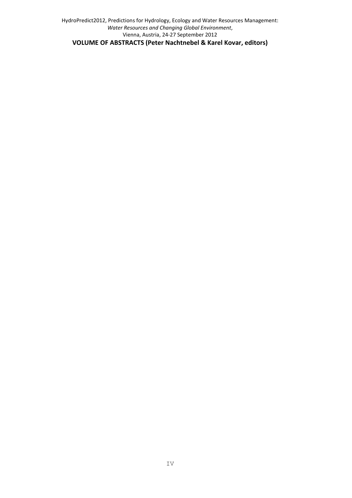HydroPredict2012, Predictions for Hydrology, Ecology and Water Resources Management: *Water Resources and Changing Global Environment*, Vienna, Austria, 24-27 September 2012 **VOLUME OF ABSTRACTS (Peter Nachtnebel & Karel Kovar, editors)**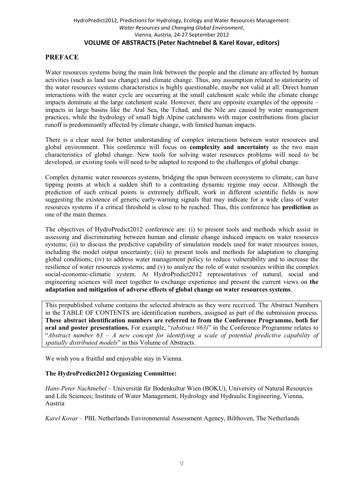### **PREFACE**

Water resources systems being the main link between the people and the climate are affected by human activities (such as land use change) and climate change. Thus, any assumption related to stationarity of the water resources systems characteristics is highly questionable, maybe not valid at all. Direct human interactions with the water cycle are occurring at the small catchment scale while the climate change impacts dominate at the large catchment scale. However, there are opposite examples of the opposite – impacts in large basins like the Aral Sea, the Tchad, and the Nile are caused by water management practices, while the hydrology of small high Alpine catchments with major contributions from glacier runoff is predominantly affected by climate change, with limited human impacts.

There is a clear need for better understanding of complex interactions between water resources and global environment. This conference will focus on **complexity and uncertainty** as the two main characteristics of global change. New tools for solving water resources problems will need to be developed, or existing tools will need to be adapted to respond to the challenges of global change.

Complex dynamic water resources systems, bridging the span between ecosystems to climate, can have tipping points at which a sudden shift to a contrasting dynamic regime may occur. Although the prediction of such critical points is extremely difficult, work in different scientific fields is now suggesting the existence of generic early-warning signals that may indicate for a wide class of water resources systems if a critical threshold is close to be reached. Thus, this conference has **prediction** as one of the main themes.

The objectives of HydroPredict2012 conference are: (i) to present tools and methods which assist in assessing and discriminating between human and climate change induced impacts on water resources systems; (ii) to discuss the predictive capability of simulation models used for water resources issues, including the model output uncertainty; (iii) to present tools and methods for adaptation to changing global conditions; (iv) to address water management policy to reduce vulnerability and to increase the resilience of water resources systems; and (v) to analyze the role of water resources within the complex social-economic-climatic system. At HydroPredict2012 representatives of natural, social and engineering sciences will meet together to exchange experience and present the current views on **the adaptation and mitigation of adverse effects of global change on water resources systems**.

This prepublished volume contains the selected abstracts as they were received. The Abstract Numbers in the TABLE OF CONTENTS are identification numbers, assigned as part of the submission process. **These abstract identification numbers are referred to from the Conference Programme, both for oral and poster presentations.** For example, "*(abstract #63)*" in the Conference Programme relates to "*Abstract number 63 – A new concept for identifying a scale of potential predictive capability of spatially distributed models*" in this Volume of Abstracts.

We wish you a fruitful and enjoyable stay in Vienna.

#### **The HydroPredict2012 Organizing Committee:**

*Hans-Peter Nachtnebel* – Universität für Bodenkultur Wien (BOKU), University of Natural Resources and Life Sciences; Institute of Water Management, Hydrology and Hydraulic Engineering, Vienna, Austria

*Karel Kovar* – PBL Netherlands Environmental Assessment Agency, Bilthoven, The Netherlands